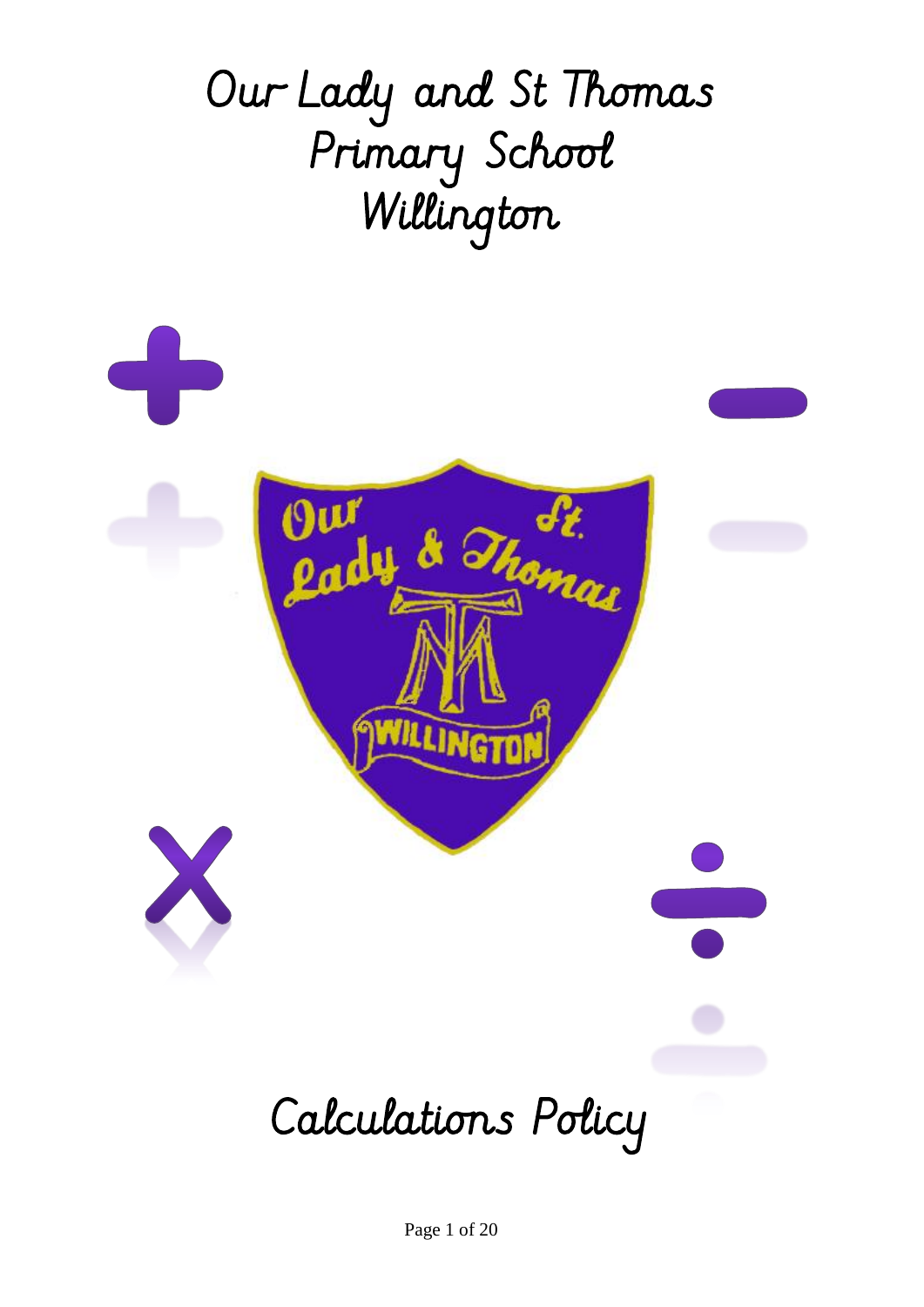

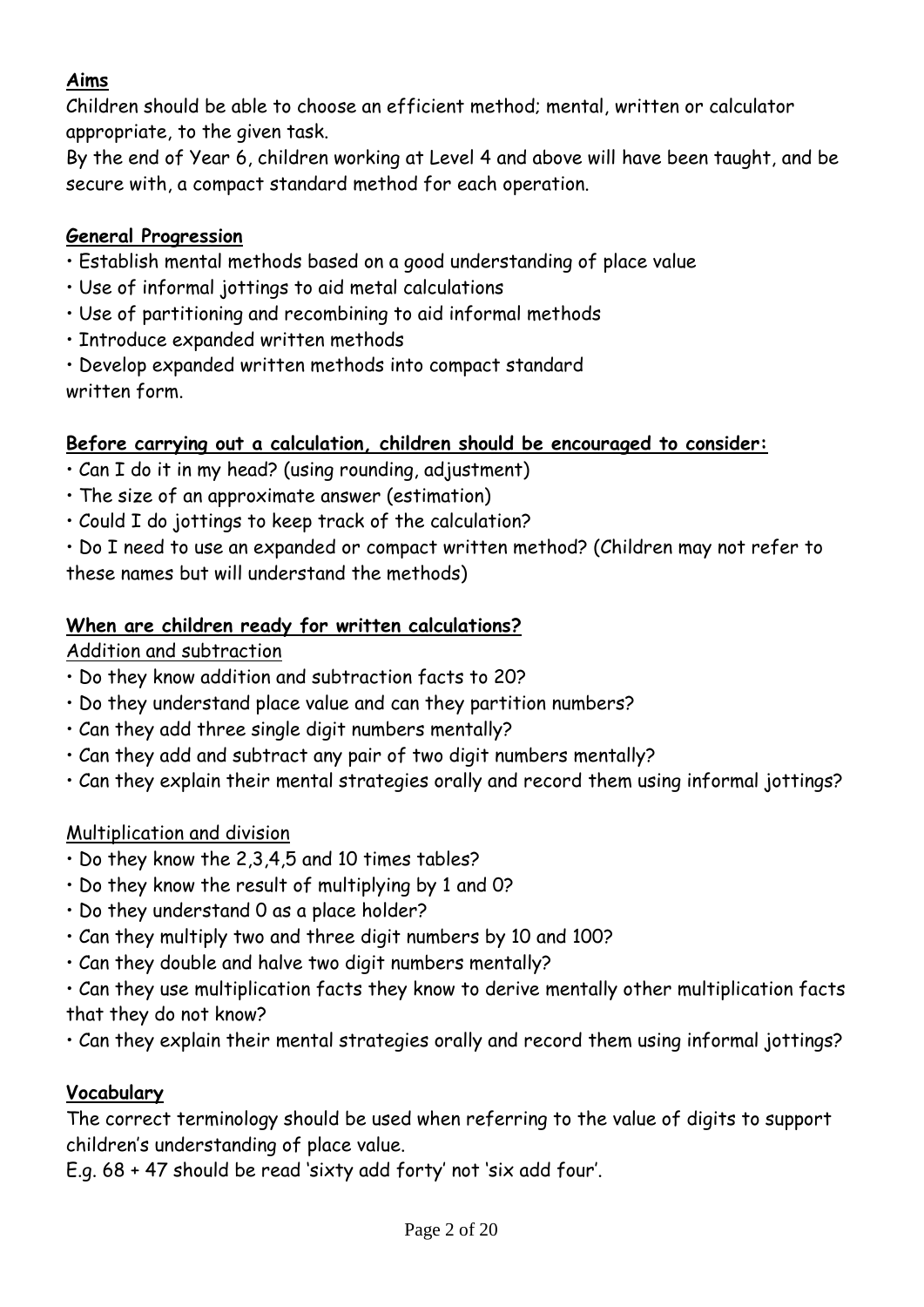#### **Aims**

Children should be able to choose an efficient method; mental, written or calculator appropriate, to the given task.

By the end of Year 6, children working at Level 4 and above will have been taught, and be secure with, a compact standard method for each operation.

#### **General Progression**

- Establish mental methods based on a good understanding of place value
- Use of informal jottings to aid metal calculations
- Use of partitioning and recombining to aid informal methods
- Introduce expanded written methods
- Develop expanded written methods into compact standard written form.

#### **Before carrying out a calculation, children should be encouraged to consider:**

- Can I do it in my head? (using rounding, adjustment)
- The size of an approximate answer (estimation)
- Could I do jottings to keep track of the calculation?

• Do I need to use an expanded or compact written method? (Children may not refer to these names but will understand the methods)

#### **When are children ready for written calculations?**

#### Addition and subtraction

- Do they know addition and subtraction facts to 20?
- Do they understand place value and can they partition numbers?
- Can they add three single digit numbers mentally?
- Can they add and subtract any pair of two digit numbers mentally?
- Can they explain their mental strategies orally and record them using informal jottings?

#### Multiplication and division

- Do they know the 2,3,4,5 and 10 times tables?
- Do they know the result of multiplying by 1 and 0?
- Do they understand 0 as a place holder?
- Can they multiply two and three digit numbers by 10 and 100?
- Can they double and halve two digit numbers mentally?
- Can they use multiplication facts they know to derive mentally other multiplication facts that they do not know?
- Can they explain their mental strategies orally and record them using informal jottings?

#### **Vocabulary**

The correct terminology should be used when referring to the value of digits to support children's understanding of place value.

E.g. 68 + 47 should be read 'sixty add forty' not 'six add four'.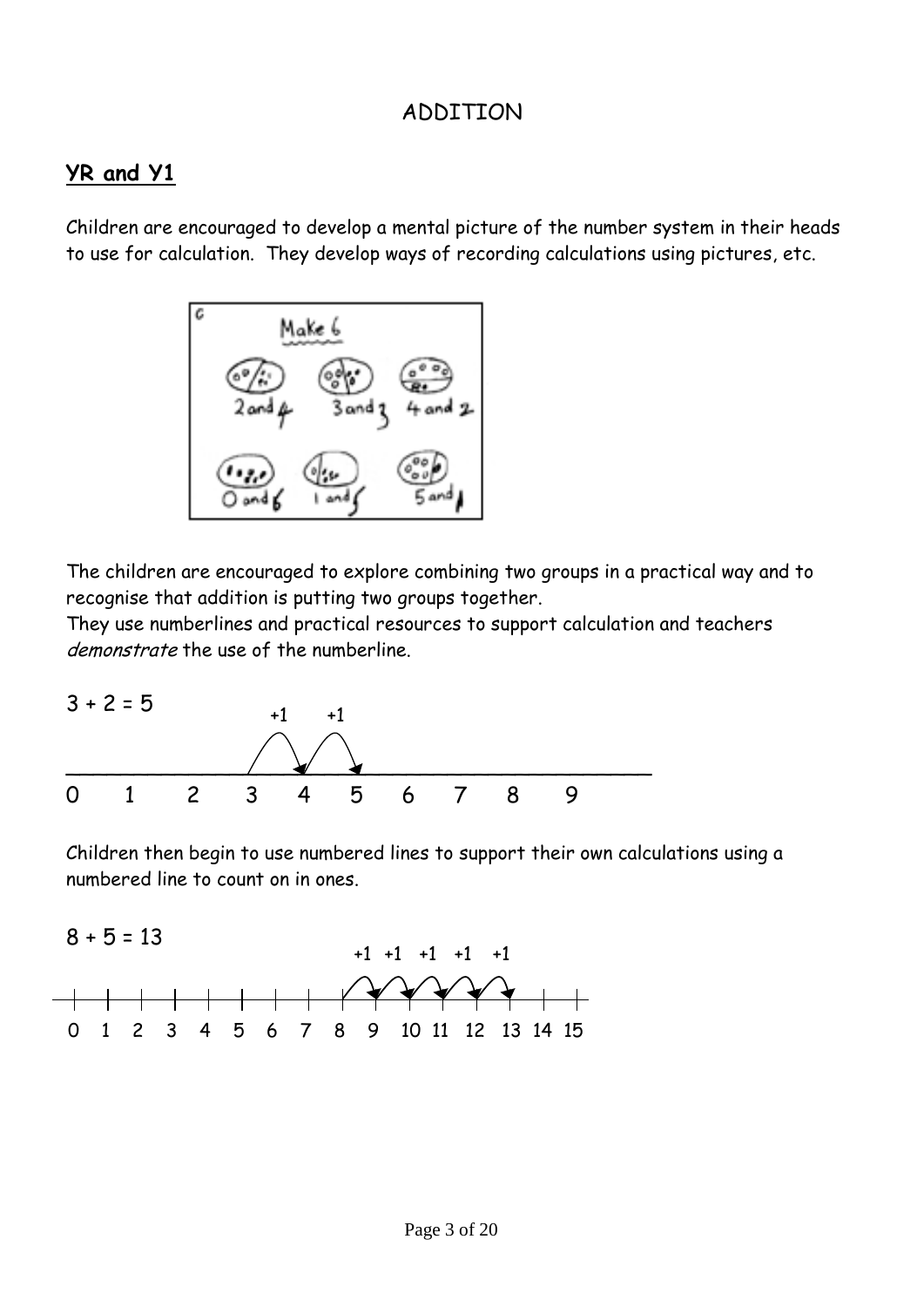#### ADDITION

#### **YR and Y1**

Children are encouraged to develop a mental picture of the number system in their heads to use for calculation. They develop ways of recording calculations using pictures, etc.



The children are encouraged to explore combining two groups in a practical way and to recognise that addition is putting two groups together.

They use numberlines and practical resources to support calculation and teachers demonstrate the use of the numberline.



Children then begin to use numbered lines to support their own calculations using a numbered line to count on in ones.

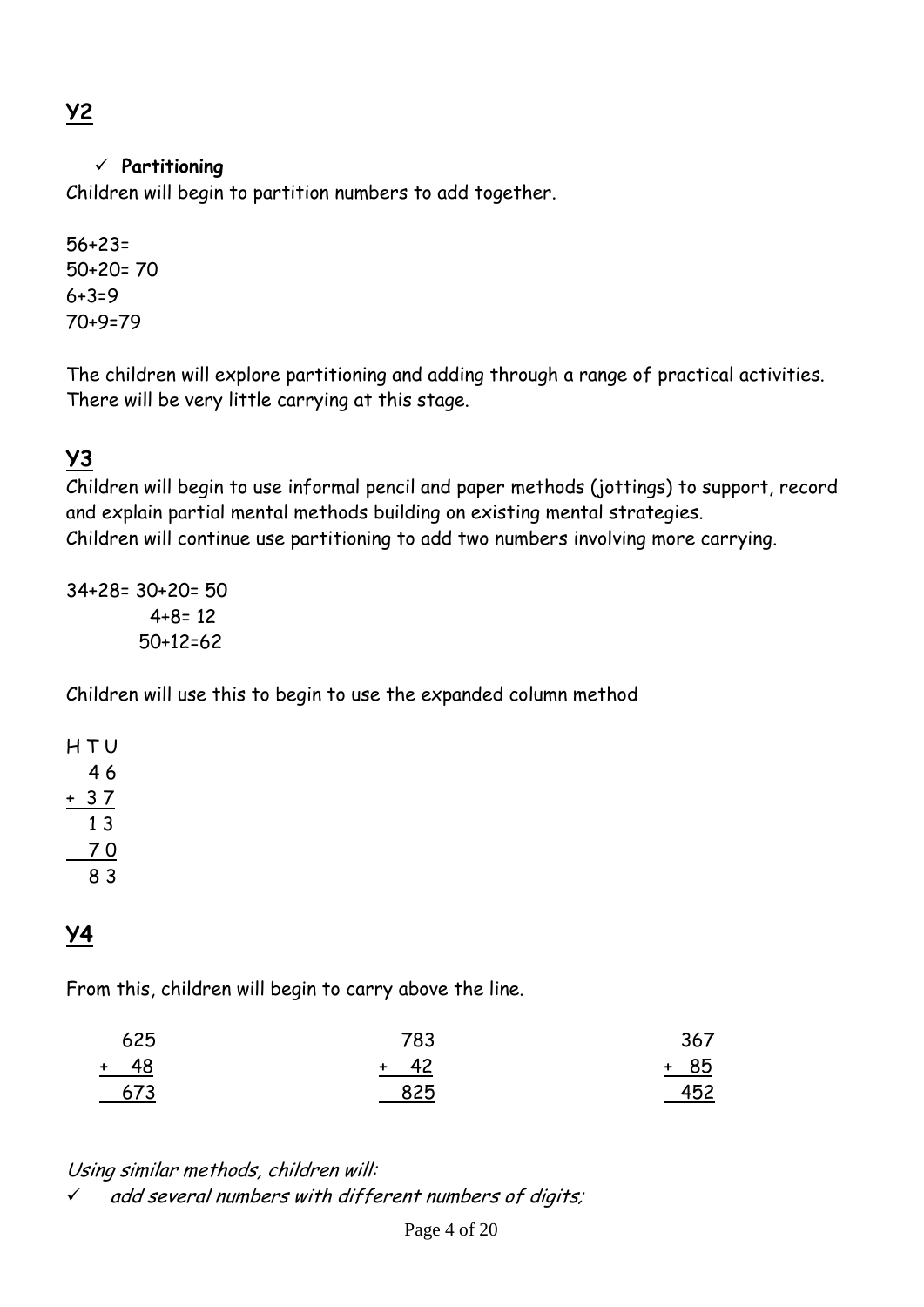# **Y2**

#### **Partitioning**

Children will begin to partition numbers to add together.

56+23= 50+20= 70 6+3=9 70+9=79

The children will explore partitioning and adding through a range of practical activities. There will be very little carrying at this stage.

## **Y3**

Children will begin to use informal pencil and paper methods (jottings) to support, record and explain partial mental methods building on existing mental strategies. Children will continue use partitioning to add two numbers involving more carrying.

34+28= 30+20= 50  $4+8=12$ 50+12=62

Children will use this to begin to use the expanded column method

## **Y4**

From this, children will begin to carry above the line.

| 625    | 783  | 367    |
|--------|------|--------|
| $+ 48$ | + 42 | $+ 85$ |
| 673    | 825  | 452    |

#### Using similar methods, children will:

 $\checkmark$  add several numbers with different numbers of digits;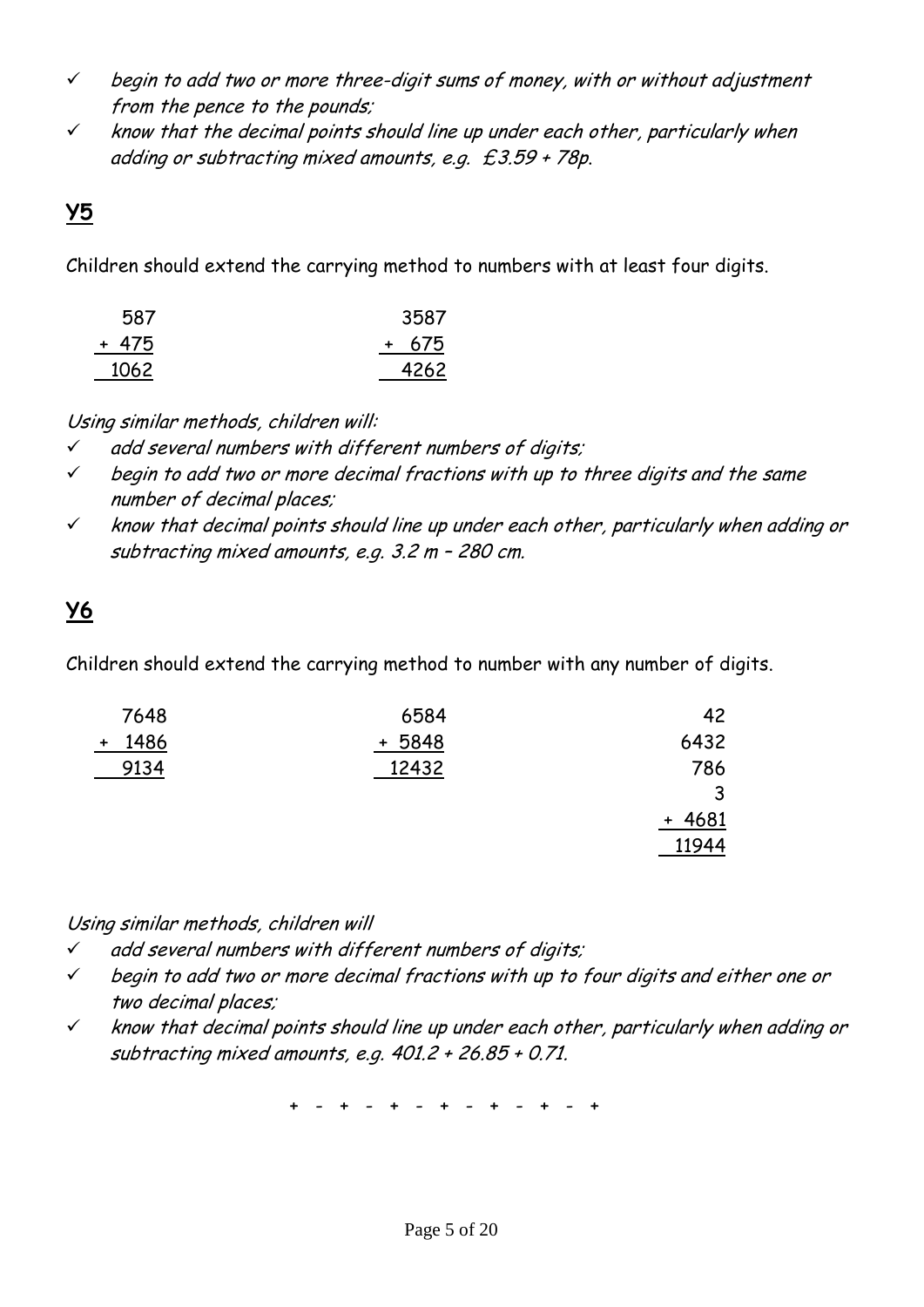- $\checkmark$  begin to add two or more three-digit sums of money, with or without adjustment from the pence to the pounds;
- $\checkmark$  know that the decimal points should line up under each other, particularly when adding or subtracting mixed amounts, e.g. £3.59 + 78p.

### **Y5**

Children should extend the carrying method to numbers with at least four digits.

| 587   | 3587  |
|-------|-------|
| + 475 | + 675 |
| 1062  | 4262  |

Using similar methods, children will:

- $\checkmark$  add several numbers with different numbers of digits;
- $\checkmark$  begin to add two or more decimal fractions with up to three digits and the same number of decimal places;
- $\checkmark$  know that decimal points should line up under each other, particularly when adding or subtracting mixed amounts, e.g. 3.2 m – 280 cm.

# **Y6**

Children should extend the carrying method to number with any number of digits.

| 7648        | 6584      | 42       |
|-------------|-----------|----------|
| 1486<br>$+$ | 5848<br>+ | 6432     |
| 9134        | 12432     | 786      |
|             |           | ર<br>ت   |
|             |           | $+ 4681$ |
|             |           | 11944    |

Using similar methods, children will

- $\checkmark$  add several numbers with different numbers of digits;
- $\checkmark$  begin to add two or more decimal fractions with up to four digits and either one or two decimal places;
- $\checkmark$  know that decimal points should line up under each other, particularly when adding or subtracting mixed amounts, e.g. 401.2 + 26.85 + 0.71.

+ - + - + - + - + - + - +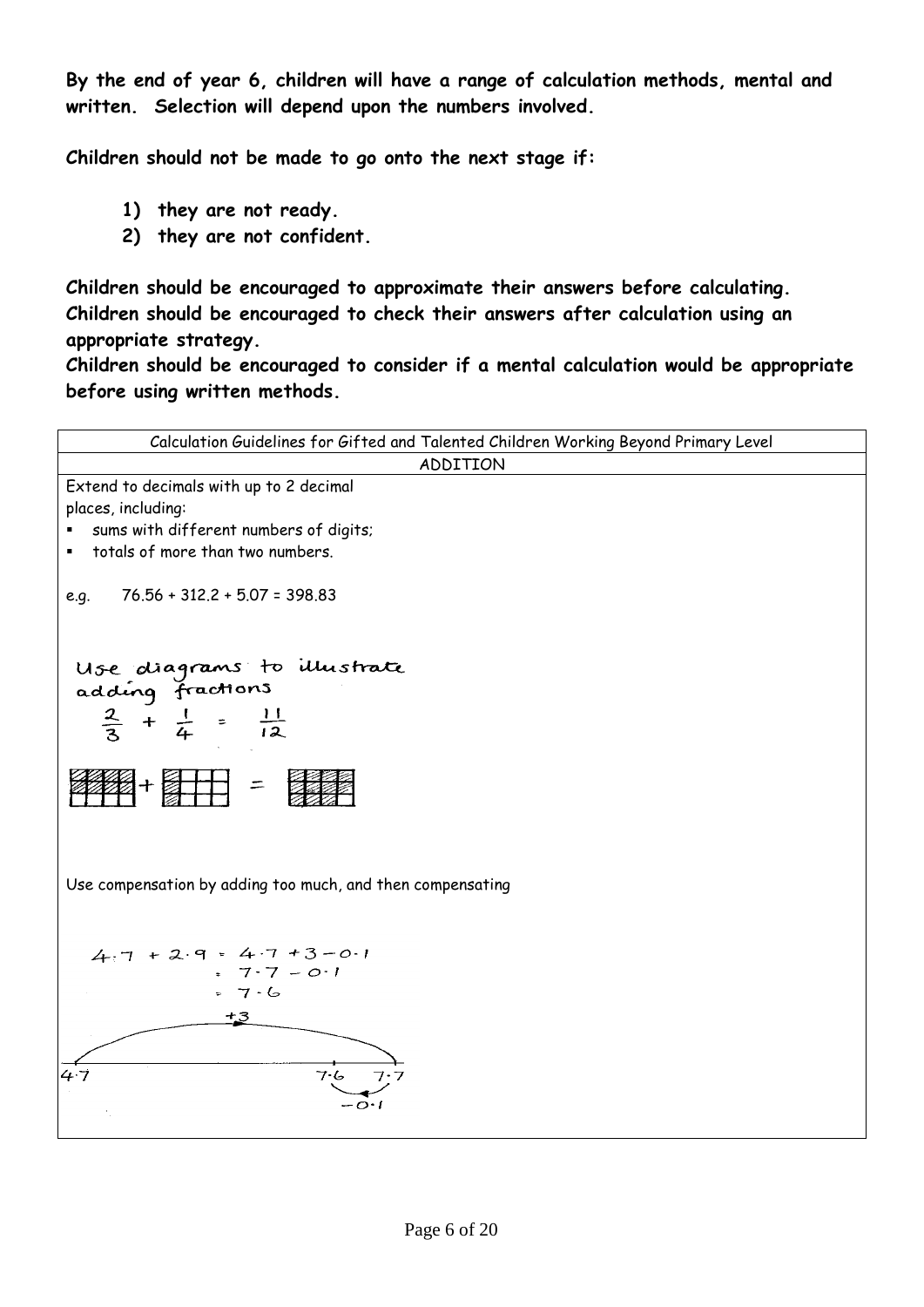**By the end of year 6, children will have a range of calculation methods, mental and written. Selection will depend upon the numbers involved.**

**Children should not be made to go onto the next stage if:**

- **1) they are not ready.**
- **2) they are not confident.**

**Children should be encouraged to approximate their answers before calculating. Children should be encouraged to check their answers after calculation using an appropriate strategy.**

**Children should be encouraged to consider if a mental calculation would be appropriate before using written methods.**

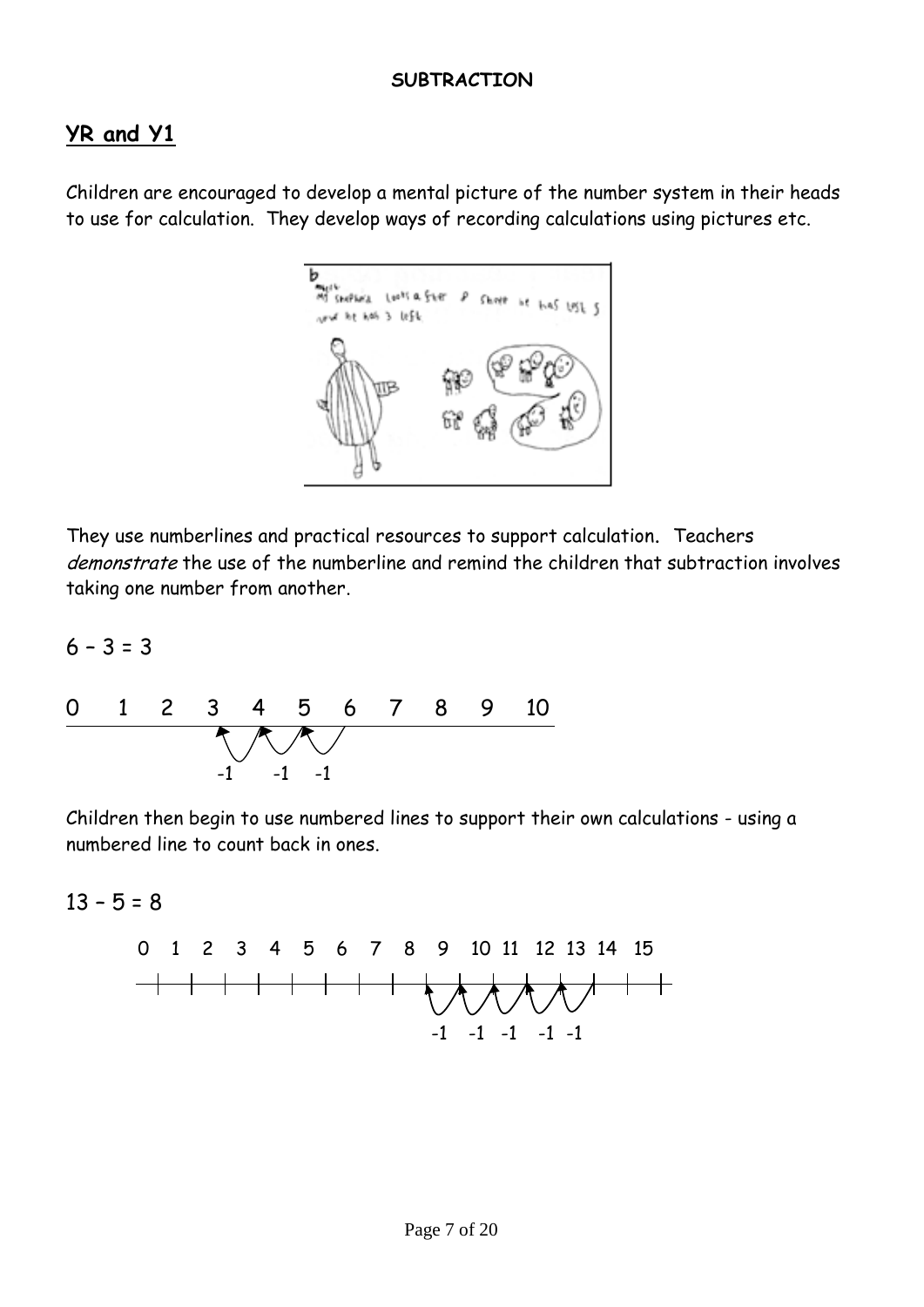#### **SUBTRACTION**

### **YR and Y1**

Children are encouraged to develop a mental picture of the number system in their heads to use for calculation. They develop ways of recording calculations using pictures etc.



They use numberlines and practical resources to support calculation. Teachers demonstrate the use of the numberline and remind the children that subtraction involves taking one number from another.

 $6 - 3 = 3$ 



Children then begin to use numbered lines to support their own calculations - using a numbered line to count back in ones.

 $13 - 5 = 8$ 

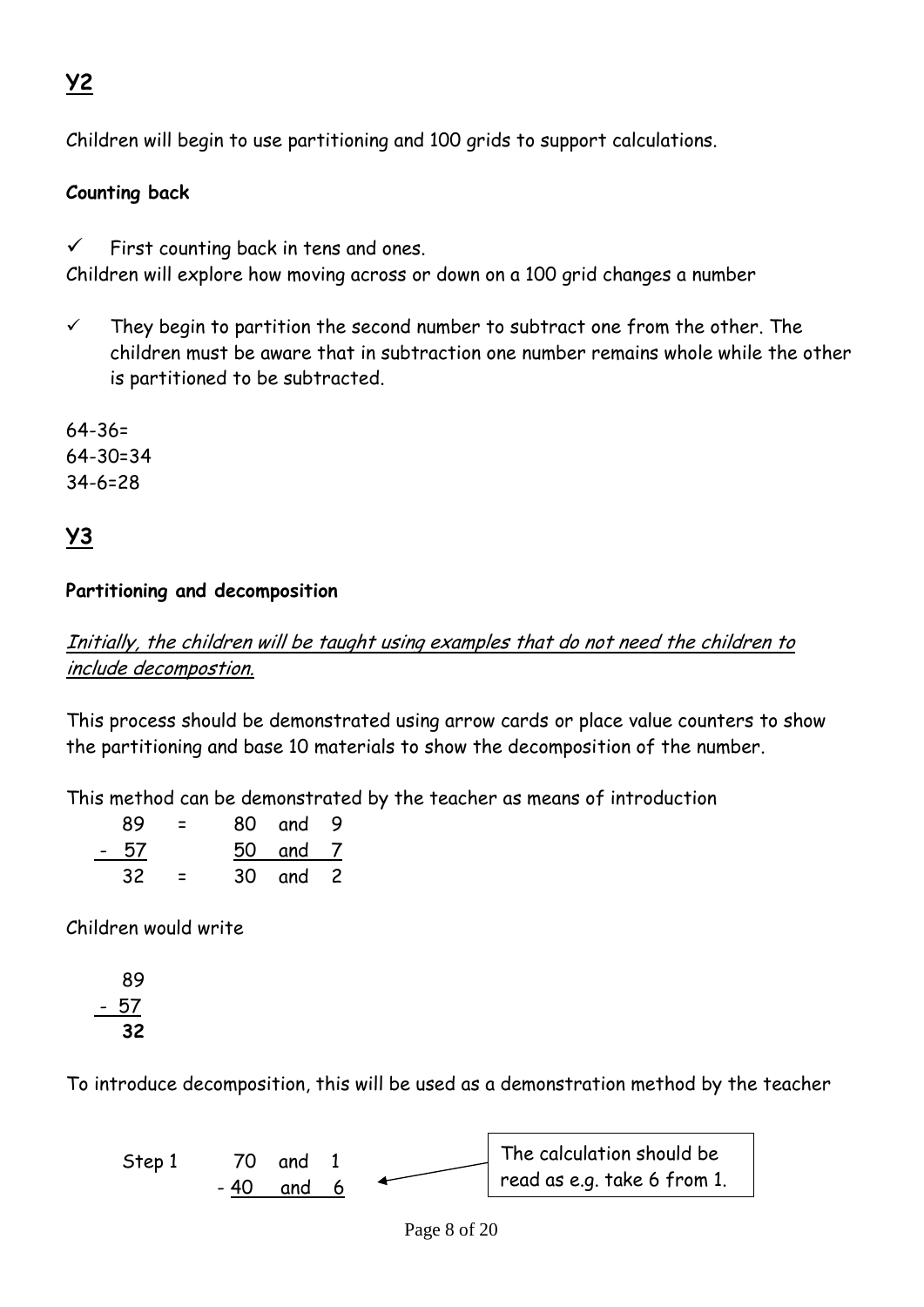# **Y2**

Children will begin to use partitioning and 100 grids to support calculations.

#### **Counting back**

 $\checkmark$  First counting back in tens and ones.

Children will explore how moving across or down on a 100 grid changes a number

 $\checkmark$  They begin to partition the second number to subtract one from the other. The children must be aware that in subtraction one number remains whole while the other is partitioned to be subtracted.

64-36= 64-30=34 34-6=28

## **Y3**

#### **Partitioning and decomposition**

Initially, the children will be taught using examples that do not need the children to include decompostion.

This process should be demonstrated using arrow cards or place value counters to show the partitioning and base 10 materials to show the decomposition of the number.

This method can be demonstrated by the teacher as means of introduction

| 89   | $\equiv$ | 80 and 9 |  |
|------|----------|----------|--|
| - 57 |          | 50 and 7 |  |
| 32.  | $\equiv$ | 30 and 2 |  |

Children would write

$$
\begin{array}{r} 89 \\ -57 \\ \hline 32 \end{array}
$$

To introduce decomposition, this will be used as a demonstration method by the teacher

Step 1 70 and 1 - 40 and 6 The calculation should be read as e.g. take 6 from 1.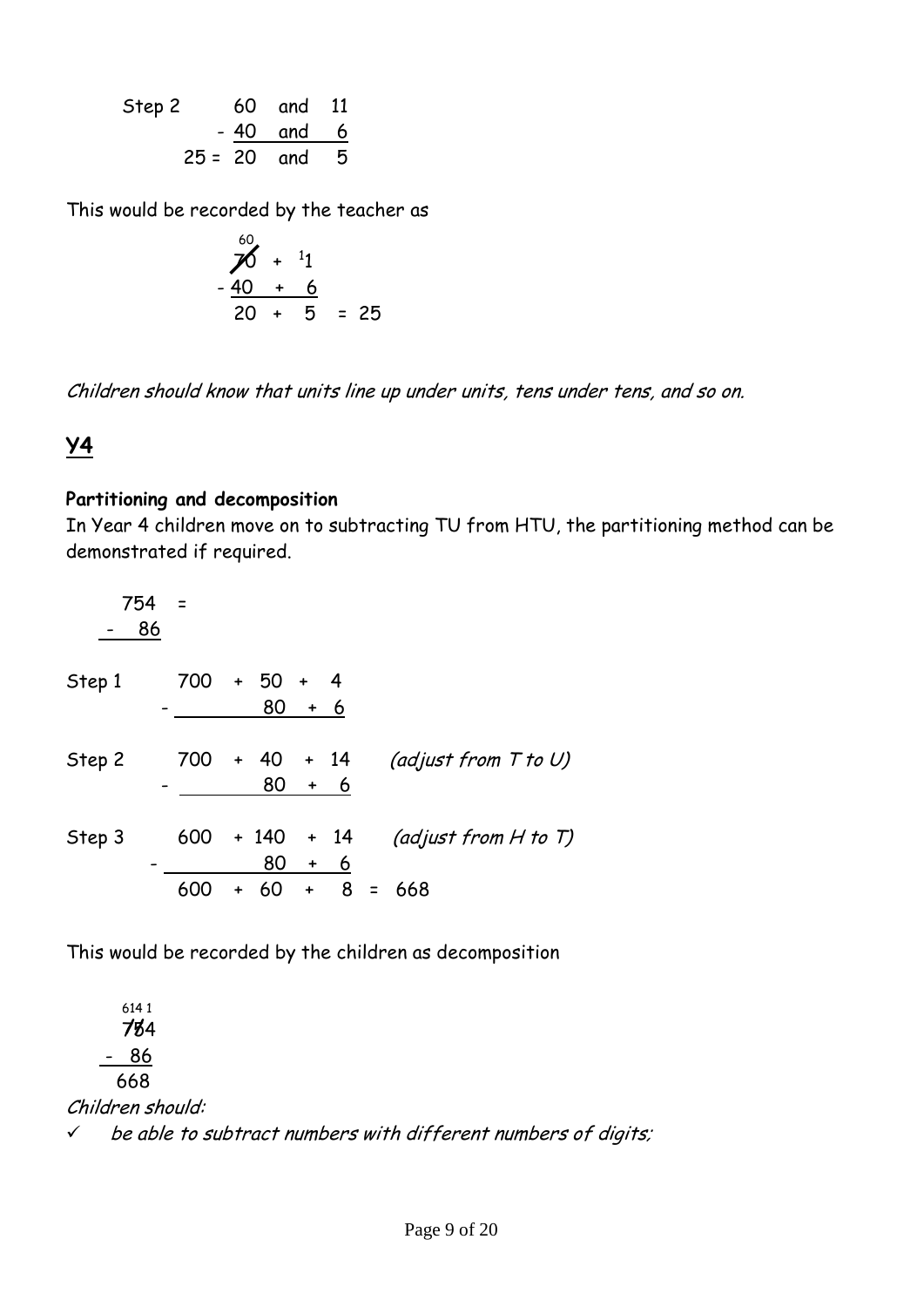Step 2 60 and 11 - 40 and 6 25 = 20 and 5

This would be recorded by the teacher as

$$
\begin{array}{r} 60 \\
76 + 11 \\
-40 + 6 \\
20 + 5 = 25\n\end{array}
$$

Children should know that units line up under units, tens under tens, and so on.

#### **Y4**

#### **Partitioning and decomposition**

In Year 4 children move on to subtracting TU from HTU, the partitioning method can be demonstrated if required.

|        | 754<br>86 |     |                    |                     |     |                           |
|--------|-----------|-----|--------------------|---------------------|-----|---------------------------|
| Step 1 |           | 700 | $+ 50 + 4$<br>80   |                     | + 6 |                           |
| Step 2 |           | 700 | + 40<br>80         | $+ 14$<br>$\ddot{}$ | - 6 | (adjust from $T$ to U)    |
| Step 3 |           | 600 | $+ 140 + 14$<br>80 | $\ddot{}$           | 6   | (adjust from $H$ to $T$ ) |
|        |           | 600 | 60                 | $\ddot{}$           | 8   | 668                       |

This would be recorded by the children as decomposition

 614 1 754 **//** - 86 668 Children should:  $\checkmark$  be able to subtract numbers with different numbers of digits;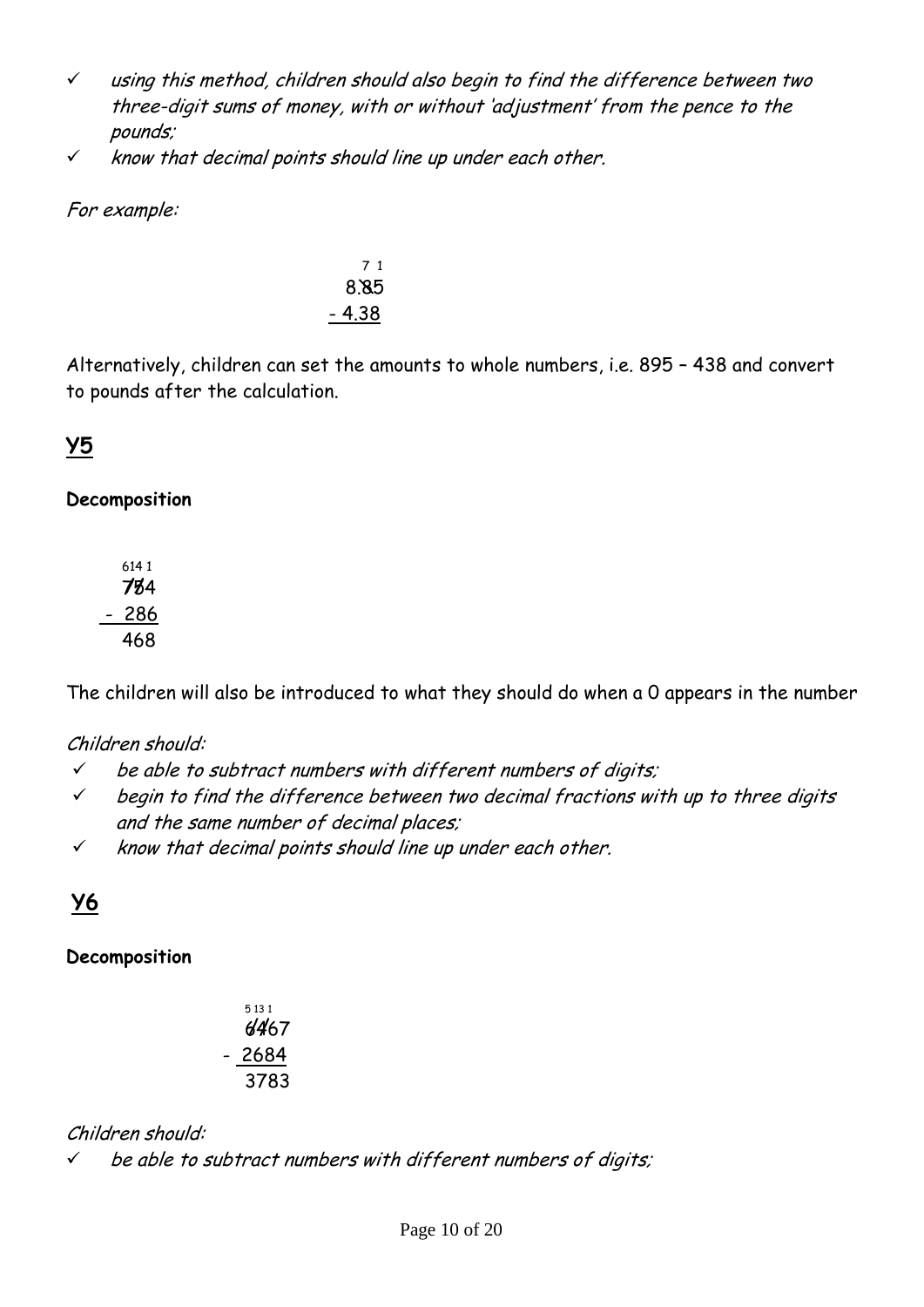- $\checkmark$  using this method, children should also begin to find the difference between two three-digit sums of money, with or without 'adjustment' from the pence to the pounds;
- $\times$  know that decimal points should line up under each other.

For example:

$$
\begin{array}{r}\n 71 \\
 8.85 \\
 -4.38\n\end{array}
$$

Alternatively, children can set the amounts to whole numbers, i.e. 895 – 438 and convert to pounds after the calculation.

## **Y5**

#### **Decomposition**

The children will also be introduced to what they should do when a 0 appears in the number

#### Children should:

- $\checkmark$  be able to subtract numbers with different numbers of digits;
- $\checkmark$  begin to find the difference between two decimal fractions with up to three digits and the same number of decimal places;
- $\checkmark$  know that decimal points should line up under each other.

## **Y6**

#### **Decomposition**

| 5 1 3 1 | 6467 |
|---------|------|
| $-2684$ |      |
|         | 3783 |

#### Children should:

 $\checkmark$  be able to subtract numbers with different numbers of digits;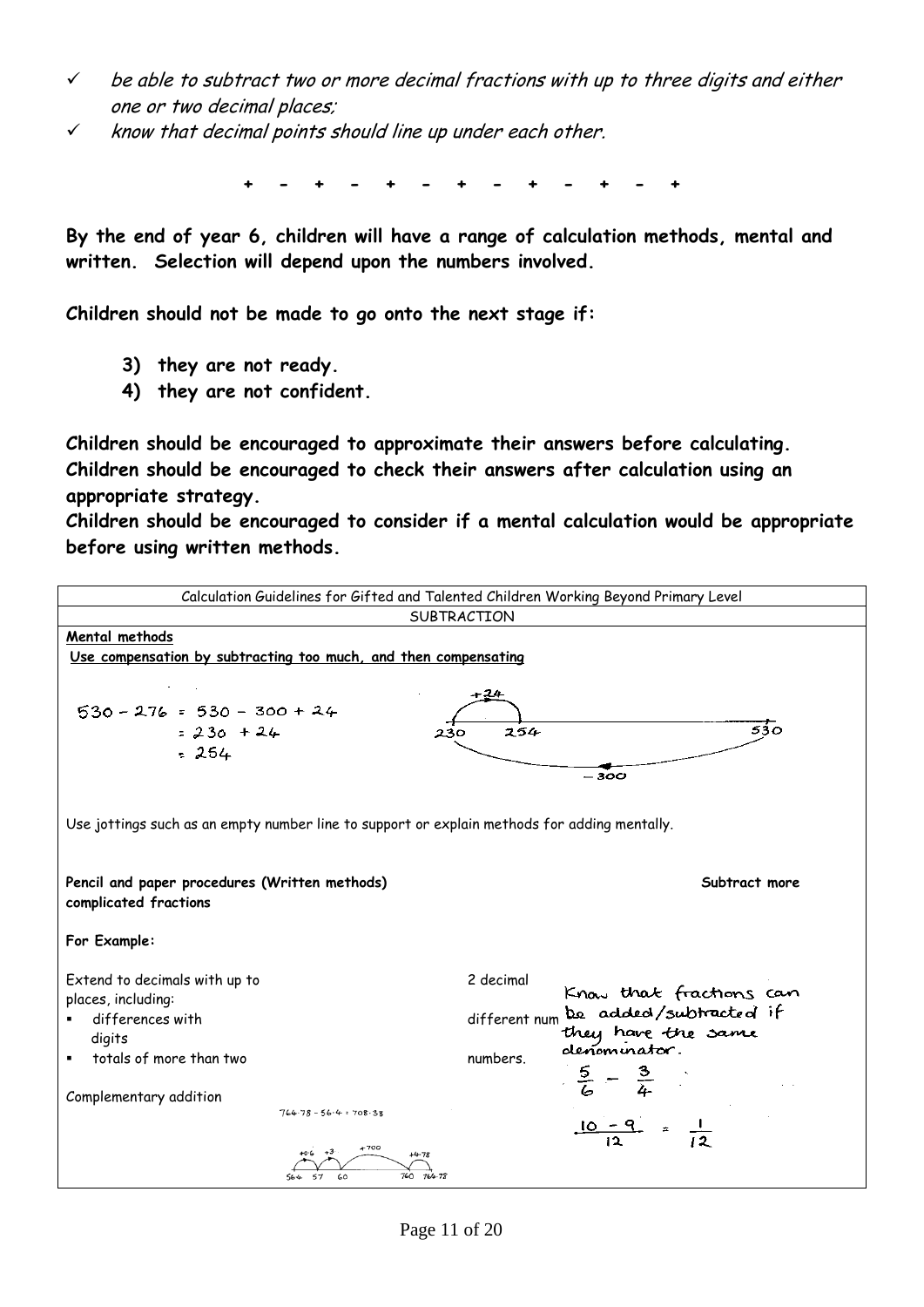- $\checkmark$  be able to subtract two or more decimal fractions with up to three digits and either one or two decimal places;
- $\checkmark$  know that decimal points should line up under each other.

**+ - + - + - + - + - + - +**

**By the end of year 6, children will have a range of calculation methods, mental and written. Selection will depend upon the numbers involved.**

**Children should not be made to go onto the next stage if:**

- **3) they are not ready.**
- **4) they are not confident.**

**Children should be encouraged to approximate their answers before calculating. Children should be encouraged to check their answers after calculation using an appropriate strategy.**

**Children should be encouraged to consider if a mental calculation would be appropriate before using written methods.**

|                                                                                                                                                                                    | Calculation Guidelines for Gifted and Talented Children Working Beyond Primary Level                                                                                                    |
|------------------------------------------------------------------------------------------------------------------------------------------------------------------------------------|-----------------------------------------------------------------------------------------------------------------------------------------------------------------------------------------|
|                                                                                                                                                                                    | SUBTRACTION                                                                                                                                                                             |
| Mental methods                                                                                                                                                                     |                                                                                                                                                                                         |
| Use compensation by subtracting too much, and then compensating                                                                                                                    |                                                                                                                                                                                         |
| $530 - 276 = 530 - 300 + 24$<br>$= 230 + 24$<br>230<br>$-254$                                                                                                                      | 24<br>530<br>254<br>- 300                                                                                                                                                               |
| Use jottings such as an empty number line to support or explain methods for adding mentally.                                                                                       |                                                                                                                                                                                         |
| Pencil and paper procedures (Written methods)<br>complicated fractions                                                                                                             | Subtract more                                                                                                                                                                           |
| For Example:                                                                                                                                                                       |                                                                                                                                                                                         |
| Extend to decimals with up to<br>places, including:<br>differences with<br>digits<br>totals of more than two<br>Complementary addition<br>$764 - 78 - 56 - 4 = 708 - 38$<br>$+700$ | 2 decimal<br>Know that fractions can<br>be added/subtracted if<br>different num<br>they have the same<br>denominator.<br>numbers.<br>$\frac{5}{6} - \frac{3}{4}$<br>$\frac{10-9}{12}$ = |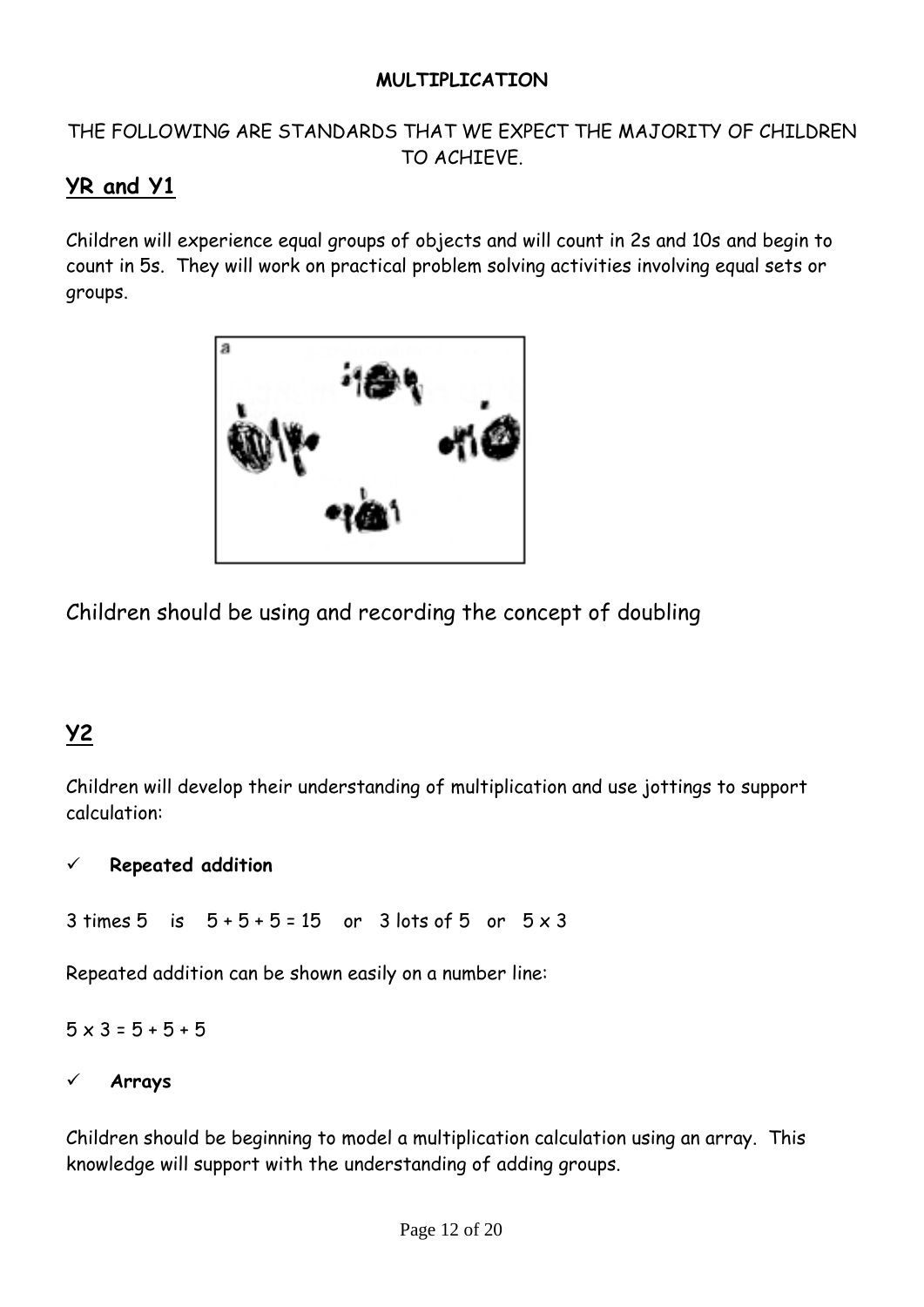#### **MULTIPLICATION**

#### THE FOLLOWING ARE STANDARDS THAT WE EXPECT THE MAJORITY OF CHILDREN TO ACHIEVE.

### **YR and Y1**

Children will experience equal groups of objects and will count in 2s and 10s and begin to count in 5s. They will work on practical problem solving activities involving equal sets or groups.



Children should be using and recording the concept of doubling

# **Y2**

Children will develop their understanding of multiplication and use jottings to support calculation:

#### **Repeated addition**

 $3 \text{ times } 5 \text{ is } 5 + 5 + 5 = 15 \text{ or } 3 \text{ lots of } 5 \text{ or } 5 \times 3$ 

Repeated addition can be shown easily on a number line:

 $5 \times 3 = 5 + 5 + 5$ 

#### **Arrays**

Children should be beginning to model a multiplication calculation using an array. This knowledge will support with the understanding of adding groups.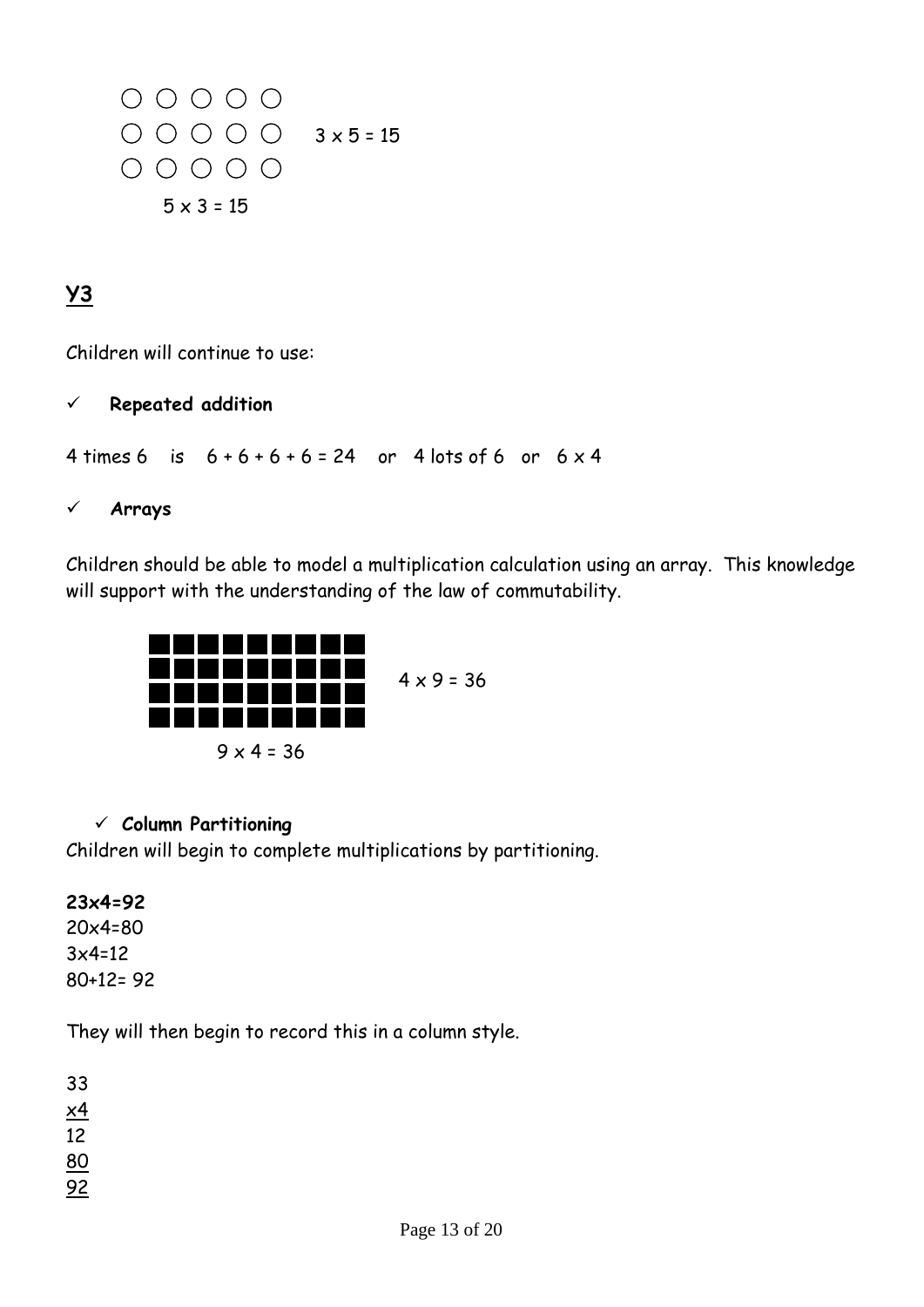$\begin{array}{ccc} \circ & \circ & \circ & \circ & \circ \end{array}$  $\bigcirc$   $\bigcirc$   $\bigcirc$   $\bigcirc$   $\bigcirc$   $3 \times 5 = 15$  $\begin{array}{ccc} \circ & \circ & \circ & \circ & \circ \end{array}$  $5 \times 3 = 15$ 

## **Y3**

Children will continue to use:

#### **Repeated addition**

4 times 6 is  $6 + 6 + 6 + 6 = 24$  or 4 lots of 6 or  $6 \times 4$ 

**Arrays**

Children should be able to model a multiplication calculation using an array. This knowledge will support with the understanding of the law of commutability.



#### **Column Partitioning**

Children will begin to complete multiplications by partitioning.

#### **23x4=92**

20x4=80 3x4=12 80+12= 92

They will then begin to record this in a column style.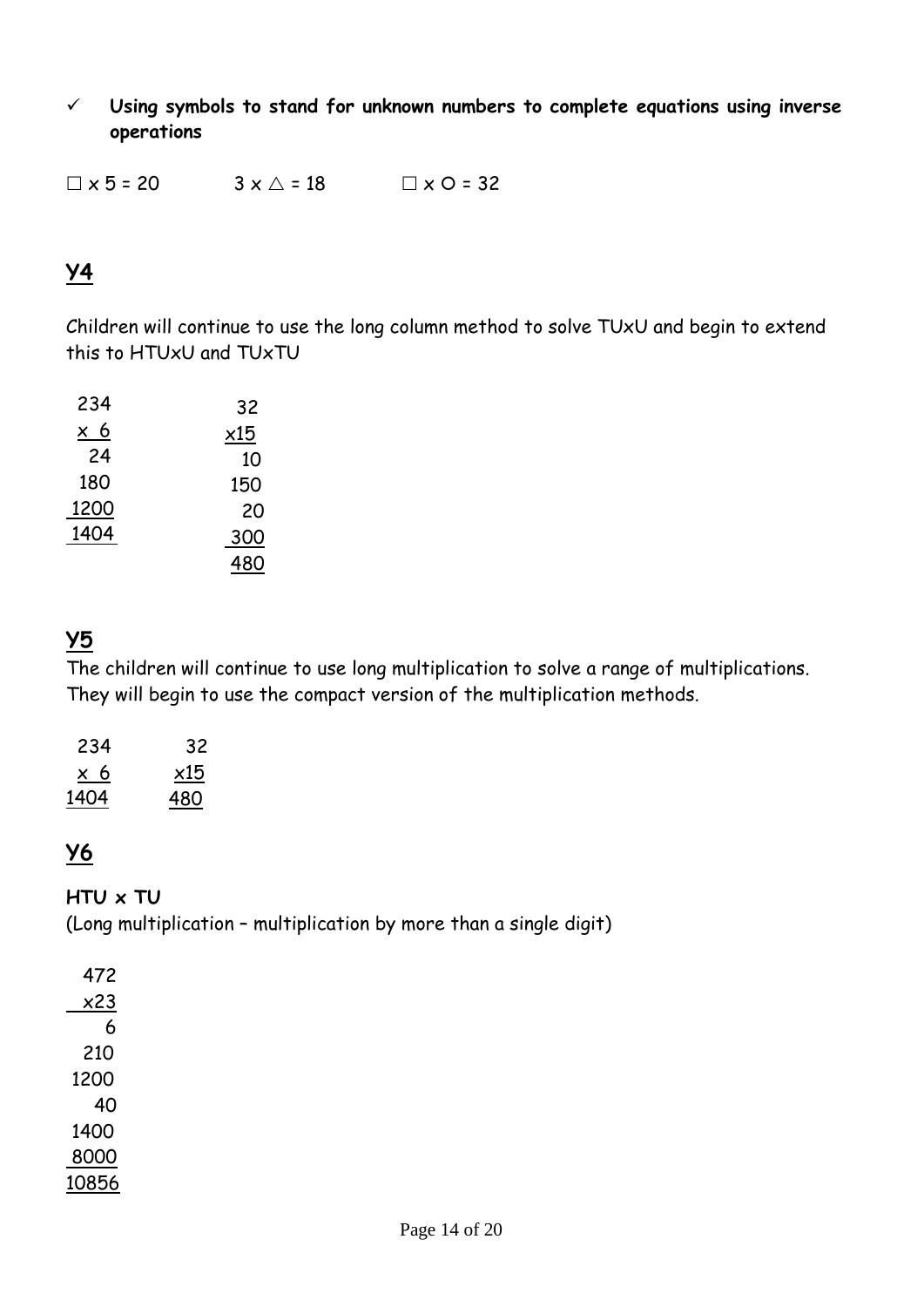**Using symbols to stand for unknown numbers to complete equations using inverse operations**

 $\Box$  x 5 = 20  $3 \times \triangle = 18$   $\Box$  x O = 32

### **Y4**

Children will continue to use the long column method to solve TUxU and begin to extend this to HTUxU and TUxTU

| 234           | 32  |
|---------------|-----|
| 6<br>$\times$ | x15 |
| 24            | 10  |
| 180           | 150 |
| 1200          | 20  |
| 1404          | 300 |
|               | 480 |

### **Y5**

The children will continue to use long multiplication to solve a range of multiplications. They will begin to use the compact version of the multiplication methods.

| 234  | 32  |
|------|-----|
| x 6  | x15 |
| 1404 | 480 |

### **Y6**

#### **HTU x TU**

(Long multiplication – multiplication by more than a single digit)

| 472   |
|-------|
| x23   |
| 6     |
| 210   |
| 1200  |
| 40    |
| 1400  |
| 8000  |
| 10856 |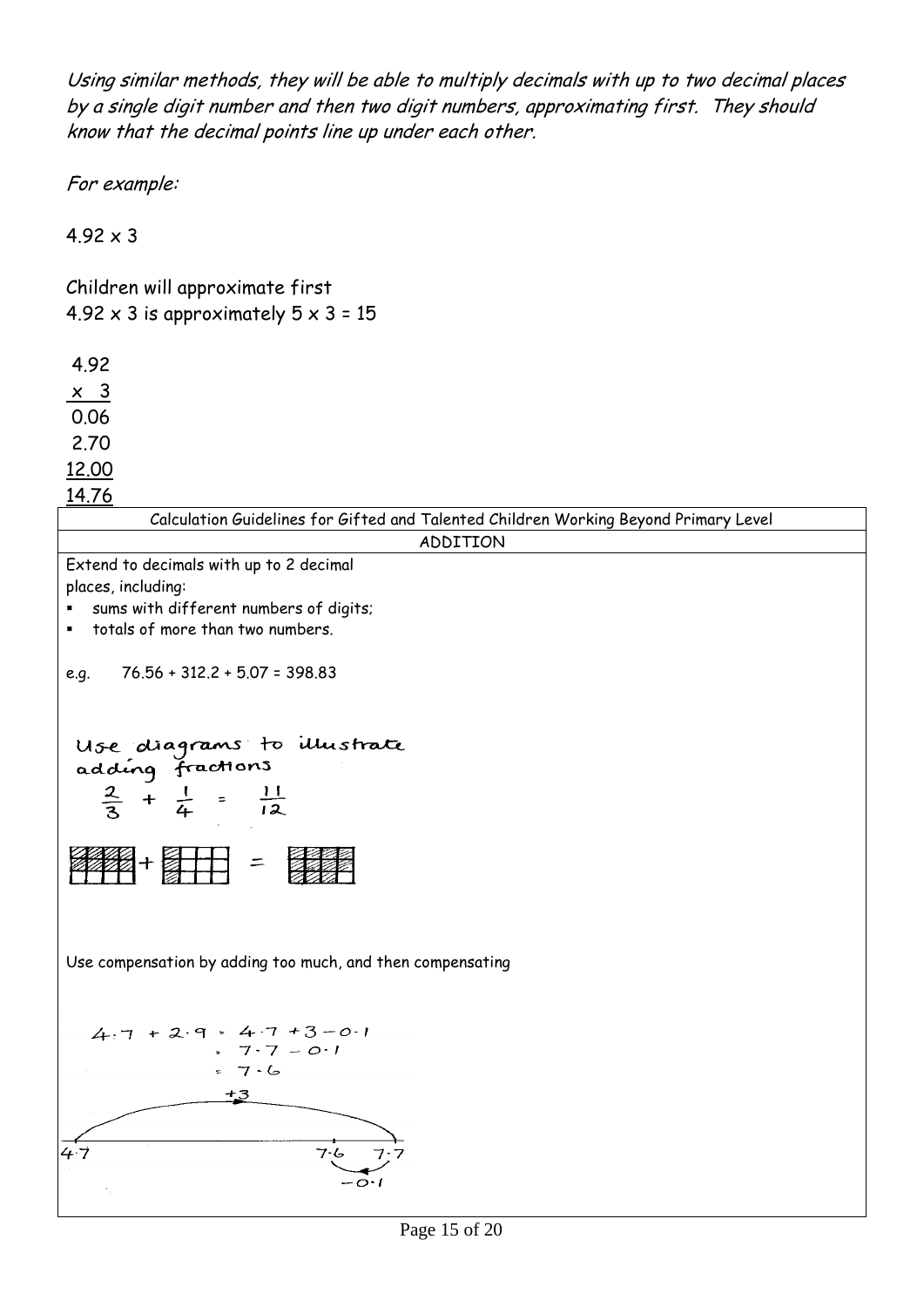Using similar methods, they will be able to multiply decimals with up to two decimal places by a single digit number and then two digit numbers, approximating first. They should know that the decimal points line up under each other.

For example:

 $4.92 \times 3$ 

Children will approximate first 4.92  $\times$  3 is approximately  $5 \times 3 = 15$ 

4.92

 $\times$  3

0.06

2.70

12.00

| <u>14.76</u>                                                                                  |
|-----------------------------------------------------------------------------------------------|
| Calculation Guidelines for Gifted and Talented Children Working Beyond Primary Level          |
| ADDITION                                                                                      |
| Extend to decimals with up to 2 decimal                                                       |
| places, including:                                                                            |
| sums with different numbers of digits;                                                        |
| totals of more than two numbers.<br>٠                                                         |
|                                                                                               |
| 76.56 + 312.2 + 5.07 = 398.83<br>e.g.                                                         |
|                                                                                               |
|                                                                                               |
| Use diagrams to illustrate<br>adding fractions<br>$\frac{2}{3} + \frac{1}{4} = \frac{11}{12}$ |
|                                                                                               |
|                                                                                               |
|                                                                                               |
|                                                                                               |
| ■+ 计 =                                                                                        |
|                                                                                               |
|                                                                                               |
|                                                                                               |
| Use compensation by adding too much, and then compensating                                    |
|                                                                                               |
|                                                                                               |
| $4.7 + 2.9 = 4.7 + 3 - 0.1$                                                                   |
| $7.7 - 0.1$                                                                                   |
| 7.6                                                                                           |
| $+3$                                                                                          |
|                                                                                               |
|                                                                                               |
| 4.7<br>7.6                                                                                    |
|                                                                                               |
|                                                                                               |
|                                                                                               |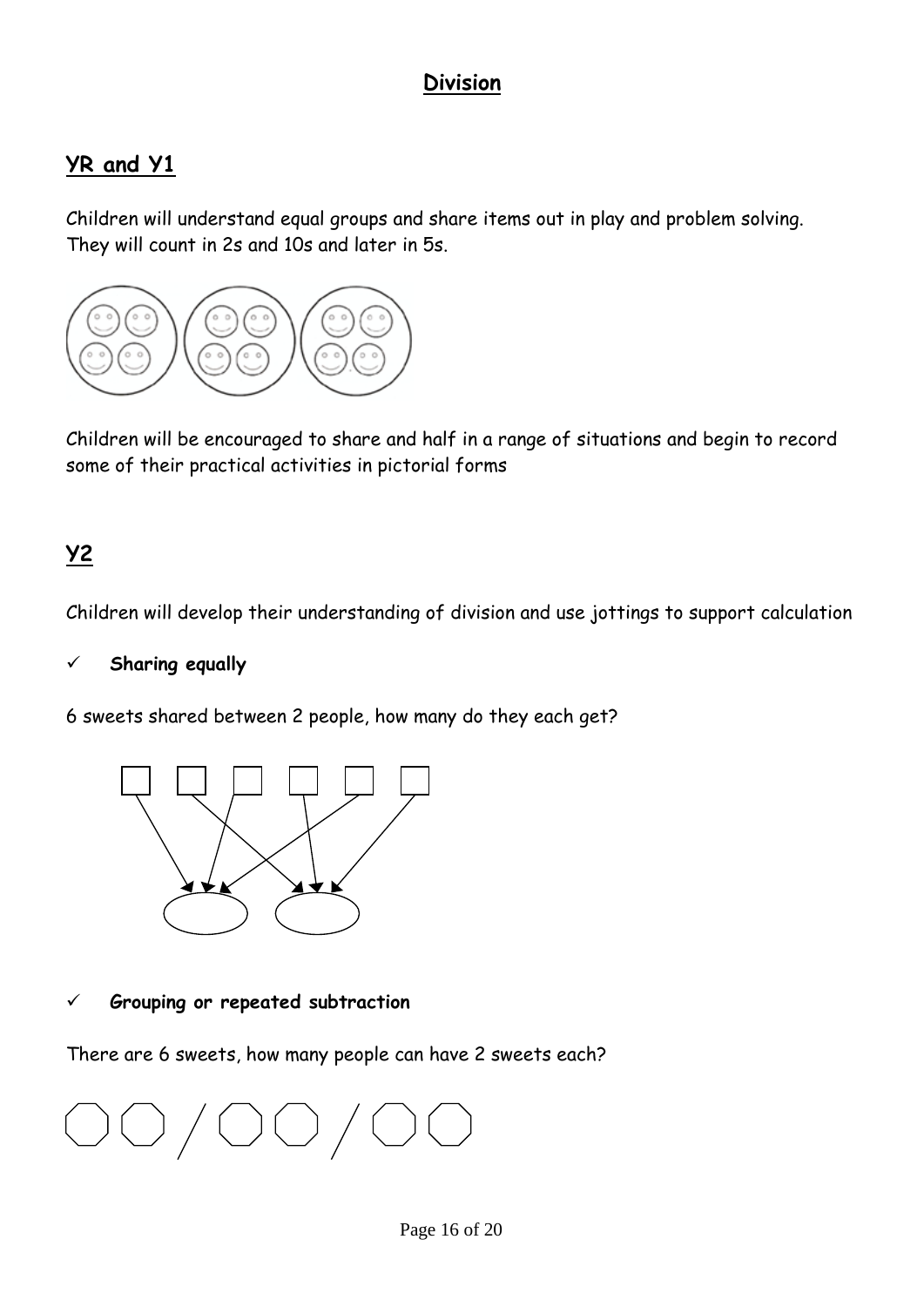### **Division**

### **YR and Y1**

Children will understand equal groups and share items out in play and problem solving. They will count in 2s and 10s and later in 5s.



Children will be encouraged to share and half in a range of situations and begin to record some of their practical activities in pictorial forms

### **Y2**

Children will develop their understanding of division and use jottings to support calculation

#### **Sharing equally**

6 sweets shared between 2 people, how many do they each get?



#### **Grouping or repeated subtraction**

There are 6 sweets, how many people can have 2 sweets each?

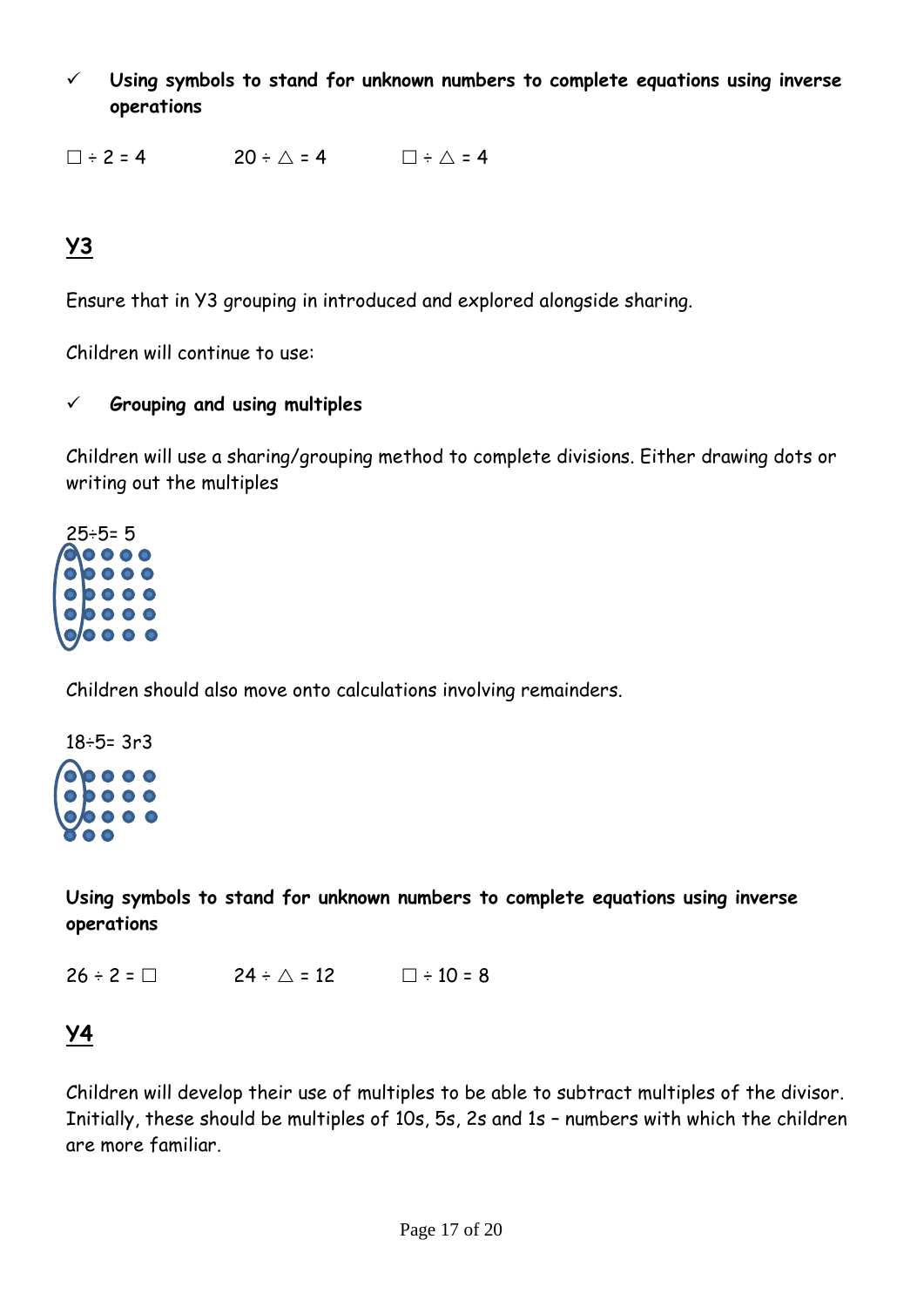**Using symbols to stand for unknown numbers to complete equations using inverse operations**

 $\square \div 2 = 4$  20  $\div \triangle = 4$   $\square \div \triangle = 4$ 

# **Y3**

Ensure that in Y3 grouping in introduced and explored alongside sharing.

Children will continue to use:

#### **Grouping and using multiples**

Children will use a sharing/grouping method to complete divisions. Either drawing dots or writing out the multiples



Children should also move onto calculations involving remainders.

18÷5= 3r3  $000$ 

**Using symbols to stand for unknown numbers to complete equations using inverse operations**

 $26 \div 2 = \Box$   $24 \div \triangle = 12$   $\Box \div 10 = 8$ 

## **Y4**

Children will develop their use of multiples to be able to subtract multiples of the divisor. Initially, these should be multiples of 10s, 5s, 2s and 1s – numbers with which the children are more familiar.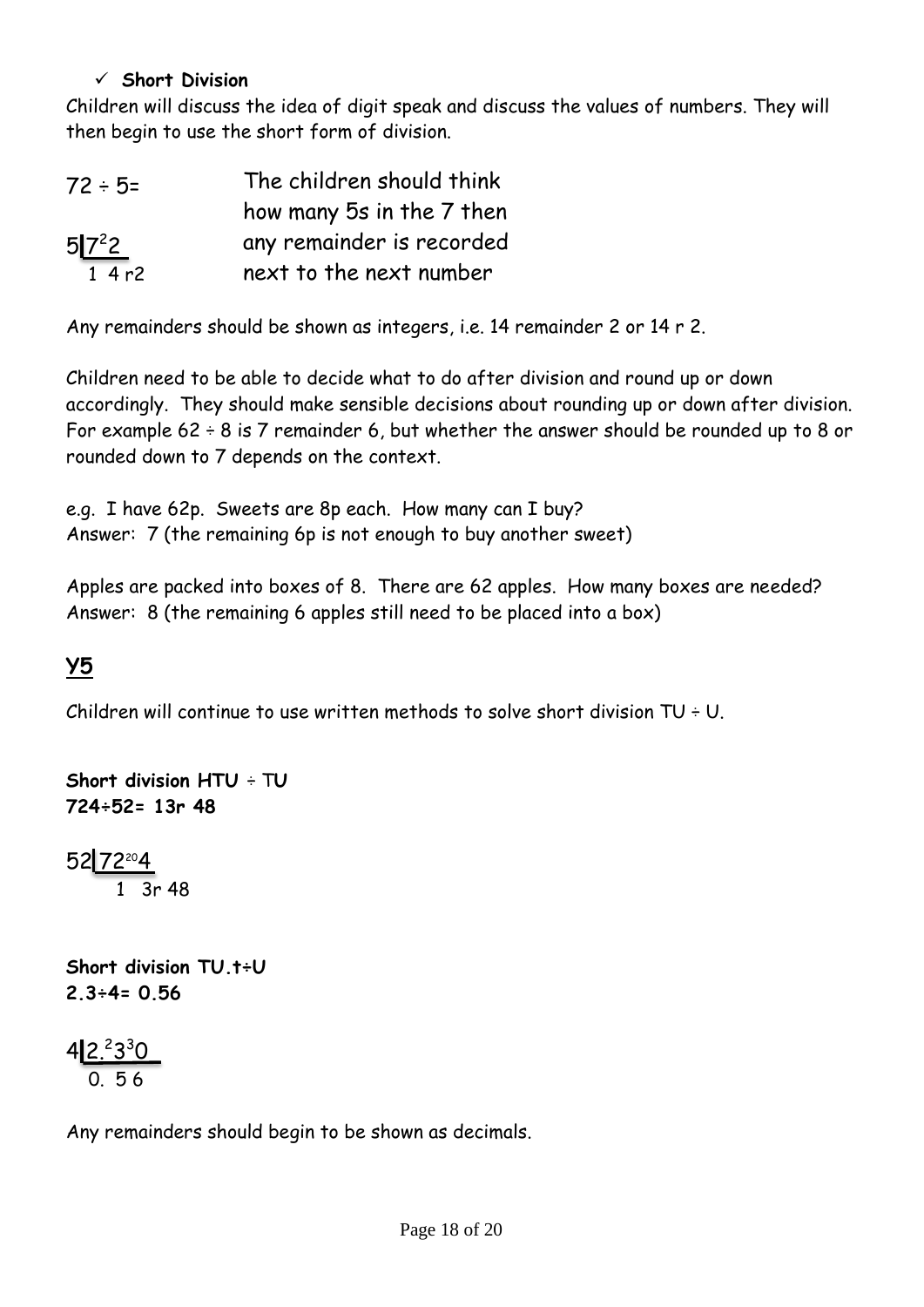#### **Short Division**

Children will discuss the idea of digit speak and discuss the values of numbers. They will then begin to use the short form of division.

| $72 \div 5=$ | The children should think |
|--------------|---------------------------|
|              | how many 5s in the 7 then |
| $5 7^2$      | any remainder is recorded |
| 14r2         | next to the next number   |

Any remainders should be shown as integers, i.e. 14 remainder 2 or 14 r 2.

Children need to be able to decide what to do after division and round up or down accordingly. They should make sensible decisions about rounding up or down after division. For example  $62 \div 8$  is 7 remainder 6, but whether the answer should be rounded up to 8 or rounded down to 7 depends on the context.

e.g. I have 62p. Sweets are 8p each. How many can I buy? Answer: 7 (the remaining 6p is not enough to buy another sweet)

Apples are packed into boxes of 8. There are 62 apples. How many boxes are needed? Answer: 8 (the remaining 6 apples still need to be placed into a box)

### **Y5**

Children will continue to use written methods to solve short division  $TU + U$ .

```
Short division HTU ÷ TU
724÷52= 13r 48
52<mark>172204</mark>
 1 3r 48 
Short division TU.t÷U
2.3÷4= 0.56
```
42.2330 0. 5 6

Any remainders should begin to be shown as decimals.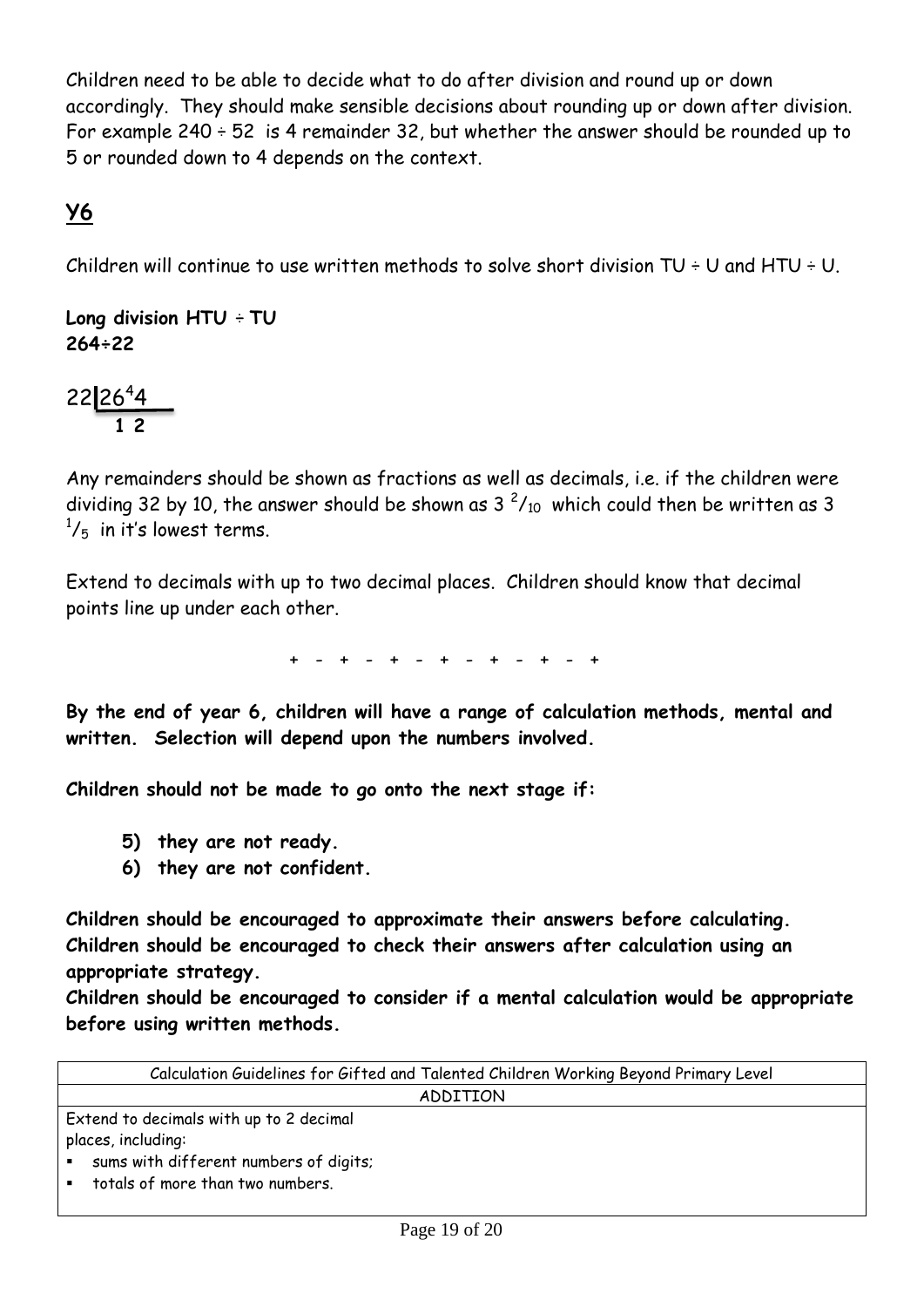Children need to be able to decide what to do after division and round up or down accordingly. They should make sensible decisions about rounding up or down after division. For example  $240 \div 52$  is 4 remainder 32, but whether the answer should be rounded up to 5 or rounded down to 4 depends on the context.

### **Y6**

Children will continue to use written methods to solve short division  $TU + U$  and  $HTU + U$ .

**Long division HTU** ÷ **TU 264÷22**

22 26<sup>4</sup>4  **1 2**

Any remainders should be shown as fractions as well as decimals, i.e. if the children were dividing 32 by 10, the answer should be shown as 3  $^{2}/_{10}\,$  which could then be written as 3  $\frac{1}{5}$  in it's lowest terms.

Extend to decimals with up to two decimal places. Children should know that decimal points line up under each other.

+ - + - + - + - + - + - +

**By the end of year 6, children will have a range of calculation methods, mental and written. Selection will depend upon the numbers involved.**

**Children should not be made to go onto the next stage if:**

- **5) they are not ready.**
- **6) they are not confident.**

**Children should be encouraged to approximate their answers before calculating. Children should be encouraged to check their answers after calculation using an appropriate strategy.**

**Children should be encouraged to consider if a mental calculation would be appropriate before using written methods.**

| Calculation Guidelines for Gifted and Talented Children Working Beyond Primary Level |
|--------------------------------------------------------------------------------------|
| ADDITION                                                                             |
| Extend to decimals with up to 2 decimal                                              |
| places, including:                                                                   |
| sums with different numbers of digits;<br>$\mathbf{H}^{\text{max}}$                  |
| • totals of more than two numbers.                                                   |
|                                                                                      |